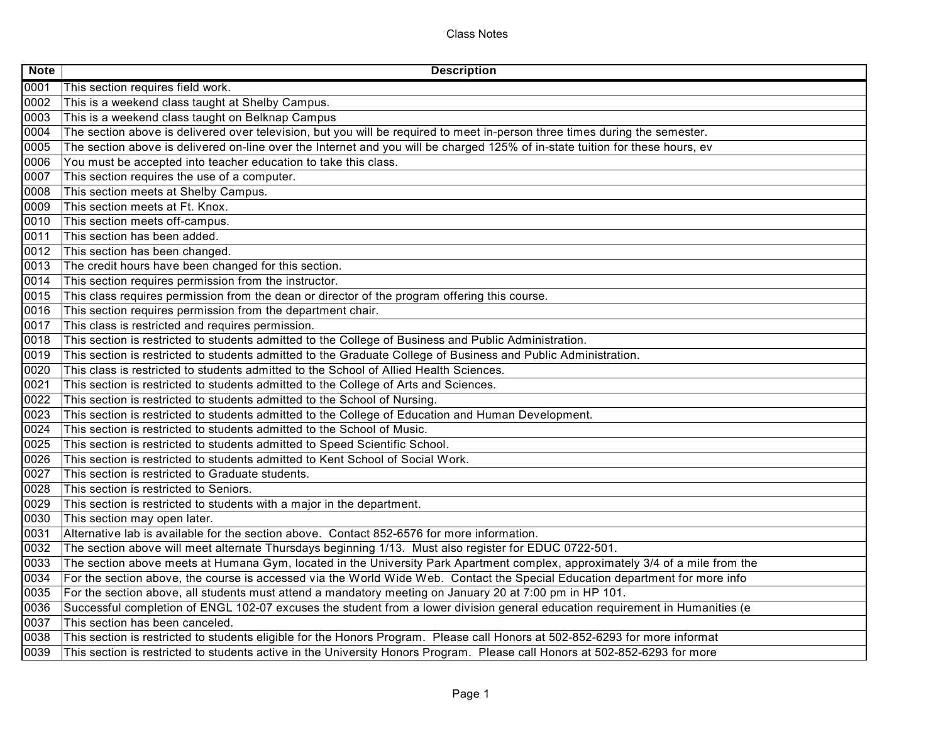Class Notes

| <b>Note</b> | <b>Description</b>                                                                                                            |
|-------------|-------------------------------------------------------------------------------------------------------------------------------|
| 0001        | This section requires field work.                                                                                             |
| 0002        | This is a weekend class taught at Shelby Campus.                                                                              |
| 0003        | This is a weekend class taught on Belknap Campus                                                                              |
| 0004        | The section above is delivered over television, but you will be required to meet in-person three times during the semester.   |
| 0005        | The section above is delivered on-line over the Internet and you will be charged 125% of in-state tuition for these hours, ev |
| 0006        | You must be accepted into teacher education to take this class.                                                               |
| 0007        | This section requires the use of a computer.                                                                                  |
| 0008        | This section meets at Shelby Campus.                                                                                          |
| 0009        | This section meets at Ft. Knox.                                                                                               |
| 0010        | This section meets off-campus.                                                                                                |
| 0011        | This section has been added.                                                                                                  |
| 0012        | This section has been changed.                                                                                                |
| 0013        | The credit hours have been changed for this section.                                                                          |
| 0014        | This section requires permission from the instructor.                                                                         |
| 0015        | This class requires permission from the dean or director of the program offering this course.                                 |
| 0016        | This section requires permission from the department chair.                                                                   |
| 0017        | This class is restricted and requires permission.                                                                             |
| 0018        | This section is restricted to students admitted to the College of Business and Public Administration.                         |
| 0019        | This section is restricted to students admitted to the Graduate College of Business and Public Administration.                |
| 0020        | This class is restricted to students admitted to the School of Allied Health Sciences.                                        |
| 0021        | This section is restricted to students admitted to the College of Arts and Sciences.                                          |
| 0022        | This section is restricted to students admitted to the School of Nursing.                                                     |
| 0023        | This section is restricted to students admitted to the College of Education and Human Development.                            |
| 0024        | This section is restricted to students admitted to the School of Music.                                                       |
| 0025        | This section is restricted to students admitted to Speed Scientific School.                                                   |
| 0026        | This section is restricted to students admitted to Kent School of Social Work.                                                |
| 0027        | This section is restricted to Graduate students.                                                                              |
| 0028        | This section is restricted to Seniors.                                                                                        |
| 0029        | This section is restricted to students with a major in the department.                                                        |
| 0030        | This section may open later.                                                                                                  |
| 0031        | Alternative lab is available for the section above. Contact 852-6576 for more information.                                    |
| 0032        | The section above will meet alternate Thursdays beginning 1/13. Must also register for EDUC 0722-501.                         |
| 0033        | The section above meets at Humana Gym, located in the University Park Apartment complex, approximately 3/4 of a mile from the |
| 0034        | For the section above, the course is accessed via the World Wide Web. Contact the Special Education department for more info  |
| 0035        | For the section above, all students must attend a mandatory meeting on January 20 at 7:00 pm in HP 101.                       |
| 0036        | Successful completion of ENGL 102-07 excuses the student from a lower division general education requirement in Humanities (e |
| 0037        | This section has been canceled.                                                                                               |
| 0038        | This section is restricted to students eligible for the Honors Program. Please call Honors at 502-852-6293 for more informat  |
| 0039        | This section is restricted to students active in the University Honors Program. Please call Honors at 502-852-6293 for more   |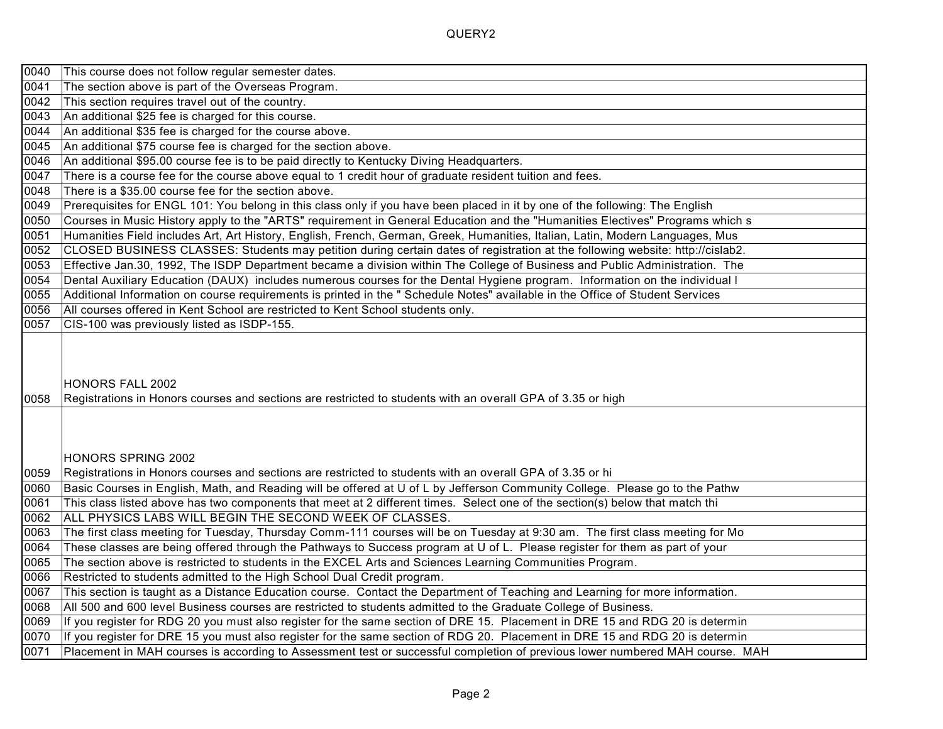| 0040         | This course does not follow regular semester dates.                                                                                                                                                                                                          |
|--------------|--------------------------------------------------------------------------------------------------------------------------------------------------------------------------------------------------------------------------------------------------------------|
| 0041         | The section above is part of the Overseas Program.                                                                                                                                                                                                           |
| 0042         | This section requires travel out of the country.                                                                                                                                                                                                             |
| 0043         | An additional \$25 fee is charged for this course.                                                                                                                                                                                                           |
| 0044         | An additional \$35 fee is charged for the course above.                                                                                                                                                                                                      |
| 0045         | An additional \$75 course fee is charged for the section above.                                                                                                                                                                                              |
| 0046         | An additional \$95.00 course fee is to be paid directly to Kentucky Diving Headquarters.                                                                                                                                                                     |
| 0047         | There is a course fee for the course above equal to 1 credit hour of graduate resident tuition and fees.                                                                                                                                                     |
| 0048         | There is a \$35.00 course fee for the section above.                                                                                                                                                                                                         |
| 0049         | Prerequisites for ENGL 101: You belong in this class only if you have been placed in it by one of the following: The English                                                                                                                                 |
| 0050         | Courses in Music History apply to the "ARTS" requirement in General Education and the "Humanities Electives" Programs which s                                                                                                                                |
| 0051         | Humanities Field includes Art, Art History, English, French, German, Greek, Humanities, Italian, Latin, Modern Languages, Mus                                                                                                                                |
| 0052         | CLOSED BUSINESS CLASSES: Students may petition during certain dates of registration at the following website: http://cislab2.                                                                                                                                |
| 0053         | Effective Jan.30, 1992, The ISDP Department became a division within The College of Business and Public Administration. The                                                                                                                                  |
| 0054         | Dental Auxiliary Education (DAUX) includes numerous courses for the Dental Hygiene program. Information on the individual I                                                                                                                                  |
| 0055         | Additional Information on course requirements is printed in the "Schedule Notes" available in the Office of Student Services                                                                                                                                 |
| 0056         | All courses offered in Kent School are restricted to Kent School students only.                                                                                                                                                                              |
| 0057         | CIS-100 was previously listed as ISDP-155.                                                                                                                                                                                                                   |
| 0058         | HONORS FALL 2002                                                                                                                                                                                                                                             |
|              | Registrations in Honors courses and sections are restricted to students with an overall GPA of 3.35 or high                                                                                                                                                  |
|              | HONORS SPRING 2002                                                                                                                                                                                                                                           |
| 0059         | Registrations in Honors courses and sections are restricted to students with an overall GPA of 3.35 or hi                                                                                                                                                    |
| 0060         | Basic Courses in English, Math, and Reading will be offered at U of L by Jefferson Community College. Please go to the Pathw                                                                                                                                 |
| 0061         | This class listed above has two components that meet at 2 different times. Select one of the section(s) below that match thi                                                                                                                                 |
| 0062         | ALL PHYSICS LABS WILL BEGIN THE SECOND WEEK OF CLASSES.                                                                                                                                                                                                      |
| 0063         | The first class meeting for Tuesday, Thursday Comm-111 courses will be on Tuesday at 9:30 am. The first class meeting for Mo                                                                                                                                 |
| 0064         | These classes are being offered through the Pathways to Success program at U of L. Please register for them as part of your                                                                                                                                  |
| 0065         | The section above is restricted to students in the EXCEL Arts and Sciences Learning Communities Program.                                                                                                                                                     |
| 0066         | Restricted to students admitted to the High School Dual Credit program.                                                                                                                                                                                      |
| 0067         | This section is taught as a Distance Education course. Contact the Department of Teaching and Learning for more information.                                                                                                                                 |
| 0068         | All 500 and 600 level Business courses are restricted to students admitted to the Graduate College of Business.                                                                                                                                              |
| 0069<br>0070 | If you register for RDG 20 you must also register for the same section of DRE 15. Placement in DRE 15 and RDG 20 is determin<br>If you register for DRE 15 you must also register for the same section of RDG 20. Placement in DRE 15 and RDG 20 is determin |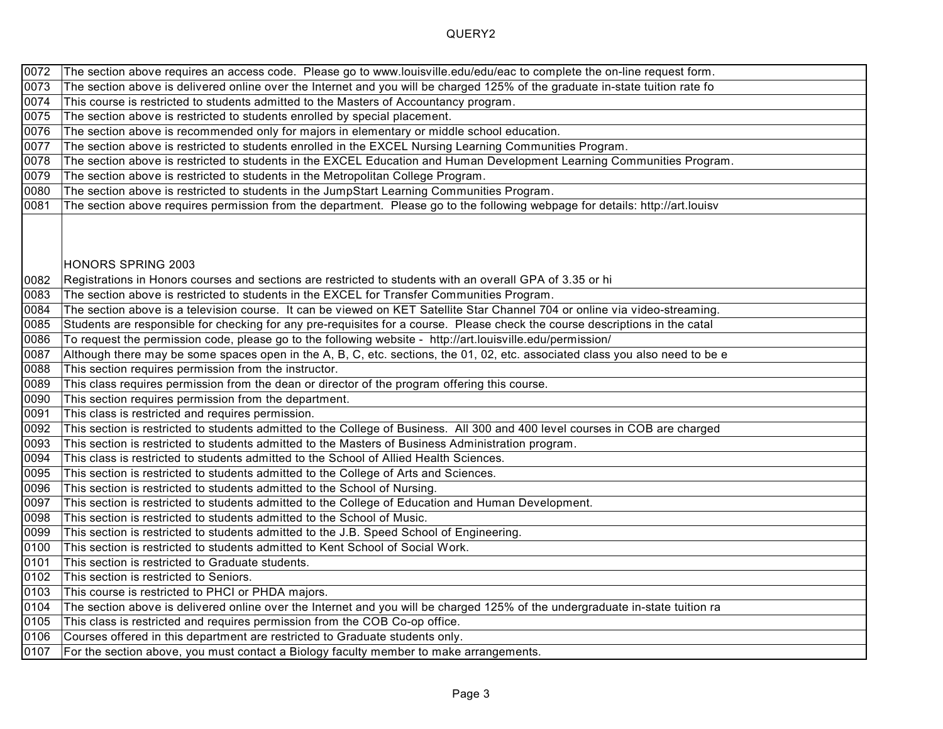| 0072 | The section above requires an access code. Please go to www.louisville.edu/edu/eac to complete the on-line request form.      |
|------|-------------------------------------------------------------------------------------------------------------------------------|
| 0073 | The section above is delivered online over the Internet and you will be charged 125% of the graduate in-state tuition rate fo |
| 0074 | This course is restricted to students admitted to the Masters of Accountancy program.                                         |
| 0075 | The section above is restricted to students enrolled by special placement.                                                    |
| 0076 | The section above is recommended only for majors in elementary or middle school education.                                    |
| 0077 | The section above is restricted to students enrolled in the EXCEL Nursing Learning Communities Program.                       |
| 0078 | The section above is restricted to students in the EXCEL Education and Human Development Learning Communities Program.        |
| 0079 | The section above is restricted to students in the Metropolitan College Program.                                              |
| 0080 | The section above is restricted to students in the JumpStart Learning Communities Program.                                    |
| 0081 | The section above requires permission from the department. Please go to the following webpage for details: http://art.louisv  |
|      |                                                                                                                               |
|      |                                                                                                                               |
|      | HONORS SPRING 2003                                                                                                            |
| 0082 | Registrations in Honors courses and sections are restricted to students with an overall GPA of 3.35 or hi                     |
| 0083 | The section above is restricted to students in the EXCEL for Transfer Communities Program.                                    |
| 0084 | The section above is a television course. It can be viewed on KET Satellite Star Channel 704 or online via video-streaming.   |
| 0085 | Students are responsible for checking for any pre-requisites for a course. Please check the course descriptions in the catal  |
| 0086 | To request the permission code, please go to the following website - http://art.louisville.edu/permission/                    |
| 0087 | Although there may be some spaces open in the A, B, C, etc. sections, the 01, 02, etc. associated class you also need to be e |
| 0088 | This section requires permission from the instructor.                                                                         |
| 0089 | This class requires permission from the dean or director of the program offering this course.                                 |
| 0090 | This section requires permission from the department.                                                                         |
| 0091 |                                                                                                                               |
|      | This class is restricted and requires permission.                                                                             |
| 0092 | This section is restricted to students admitted to the College of Business. All 300 and 400 level courses in COB are charged  |
| 0093 | This section is restricted to students admitted to the Masters of Business Administration program.                            |
| 0094 | This class is restricted to students admitted to the School of Allied Health Sciences.                                        |
| 0095 | This section is restricted to students admitted to the College of Arts and Sciences.                                          |
| 0096 | This section is restricted to students admitted to the School of Nursing.                                                     |
| 0097 | This section is restricted to students admitted to the College of Education and Human Development.                            |
| 0098 | This section is restricted to students admitted to the School of Music.                                                       |
| 0099 | This section is restricted to students admitted to the J.B. Speed School of Engineering.                                      |
| 0100 | This section is restricted to students admitted to Kent School of Social Work.                                                |
| 0101 | This section is restricted to Graduate students.                                                                              |
| 0102 | This section is restricted to Seniors.                                                                                        |
| 0103 | This course is restricted to PHCI or PHDA majors.                                                                             |
| 0104 | The section above is delivered online over the Internet and you will be charged 125% of the undergraduate in-state tuition ra |
| 0105 | This class is restricted and requires permission from the COB Co-op office.                                                   |
| 0106 | Courses offered in this department are restricted to Graduate students only.                                                  |
| 0107 | For the section above, you must contact a Biology faculty member to make arrangements.                                        |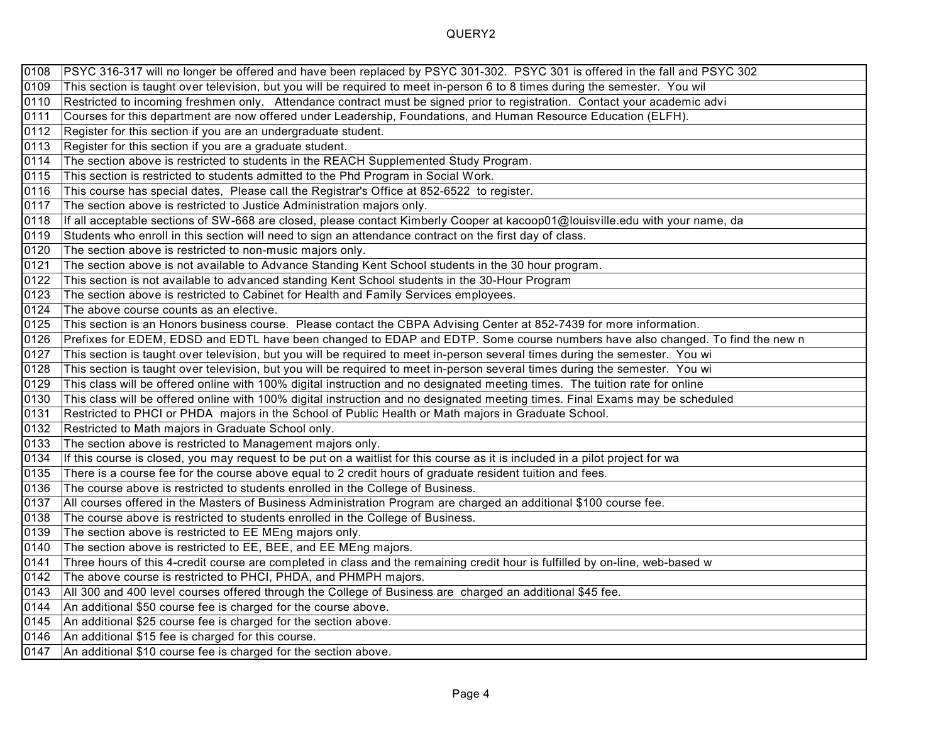| 0108 | PSYC 316-317 will no longer be offered and have been replaced by PSYC 301-302. PSYC 301 is offered in the fall and PSYC 302   |
|------|-------------------------------------------------------------------------------------------------------------------------------|
| 0109 | This section is taught over television, but you will be required to meet in-person 6 to 8 times during the semester. You wil  |
| 0110 | Restricted to incoming freshmen only. Attendance contract must be signed prior to registration. Contact your academic advi    |
| 0111 | Courses for this department are now offered under Leadership, Foundations, and Human Resource Education (ELFH).               |
| 0112 | Register for this section if you are an undergraduate student.                                                                |
| 0113 | Register for this section if you are a graduate student.                                                                      |
| 0114 | The section above is restricted to students in the REACH Supplemented Study Program.                                          |
| 0115 | This section is restricted to students admitted to the Phd Program in Social Work.                                            |
| 0116 | This course has special dates, Please call the Registrar's Office at 852-6522 to register.                                    |
| 0117 | The section above is restricted to Justice Administration majors only.                                                        |
| 0118 | If all acceptable sections of SW-668 are closed, please contact Kimberly Cooper at kacoop01@louisville.edu with your name, da |
| 0119 | Students who enroll in this section will need to sign an attendance contract on the first day of class.                       |
| 0120 | The section above is restricted to non-music majors only.                                                                     |
| 0121 | The section above is not available to Advance Standing Kent School students in the 30 hour program.                           |
| 0122 | This section is not available to advanced standing Kent School students in the 30-Hour Program                                |
| 0123 | The section above is restricted to Cabinet for Health and Family Services employees.                                          |
| 0124 | The above course counts as an elective.                                                                                       |
| 0125 | This section is an Honors business course. Please contact the CBPA Advising Center at 852-7439 for more information.          |
| 0126 | Prefixes for EDEM, EDSD and EDTL have been changed to EDAP and EDTP. Some course numbers have also changed. To find the new n |
| 0127 | This section is taught over television, but you will be required to meet in-person several times during the semester. You wi  |
| 0128 | This section is taught over television, but you will be required to meet in-person several times during the semester. You wi  |
| 0129 | This class will be offered online with 100% digital instruction and no designated meeting times. The tuition rate for online  |
| 0130 | This class will be offered online with 100% digital instruction and no designated meeting times. Final Exams may be scheduled |
| 0131 | Restricted to PHCI or PHDA majors in the School of Public Health or Math majors in Graduate School.                           |
| 0132 | Restricted to Math majors in Graduate School only.                                                                            |
| 0133 | The section above is restricted to Management majors only.                                                                    |
| 0134 | If this course is closed, you may request to be put on a waitlist for this course as it is included in a pilot project for wa |
| 0135 | There is a course fee for the course above equal to 2 credit hours of graduate resident tuition and fees.                     |
| 0136 | The course above is restricted to students enrolled in the College of Business.                                               |
| 0137 | All courses offered in the Masters of Business Administration Program are charged an additional \$100 course fee.             |
| 0138 | The course above is restricted to students enrolled in the College of Business.                                               |
| 0139 | The section above is restricted to EE MEng majors only.                                                                       |
| 0140 | The section above is restricted to EE, BEE, and EE MEng majors.                                                               |
| 0141 | Three hours of this 4-credit course are completed in class and the remaining credit hour is fulfilled by on-line, web-based w |
| 0142 | The above course is restricted to PHCI, PHDA, and PHMPH majors.                                                               |
| 0143 | $ $ All 300 and 400 level courses offered through the College of Business are charged an additional \$45 fee.                 |
| 0144 | An additional \$50 course fee is charged for the course above.                                                                |
| 0145 | An additional \$25 course fee is charged for the section above.                                                               |
| 0146 | An additional \$15 fee is charged for this course.                                                                            |
| 0147 | An additional \$10 course fee is charged for the section above.                                                               |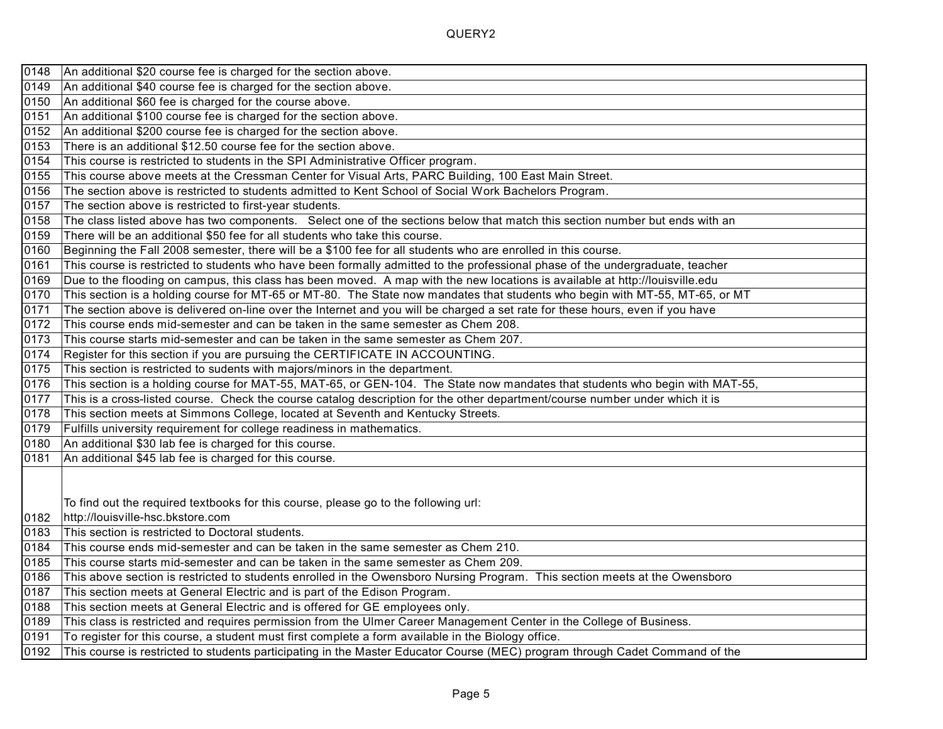| 0148  | An additional \$20 course fee is charged for the section above.                                                               |
|-------|-------------------------------------------------------------------------------------------------------------------------------|
| 0149  | An additional \$40 course fee is charged for the section above.                                                               |
| 0150  | An additional \$60 fee is charged for the course above.                                                                       |
| 0151  | An additional \$100 course fee is charged for the section above.                                                              |
| 0152  | An additional \$200 course fee is charged for the section above.                                                              |
| 0153  | There is an additional \$12.50 course fee for the section above.                                                              |
| 0154  | This course is restricted to students in the SPI Administrative Officer program.                                              |
| 0155  | This course above meets at the Cressman Center for Visual Arts, PARC Building, 100 East Main Street.                          |
| 0156  | The section above is restricted to students admitted to Kent School of Social Work Bachelors Program.                         |
| 0157  | The section above is restricted to first-year students.                                                                       |
| 0158  | The class listed above has two components. Select one of the sections below that match this section number but ends with an   |
| 0159  | There will be an additional \$50 fee for all students who take this course.                                                   |
| 0160  | Beginning the Fall 2008 semester, there will be a \$100 fee for all students who are enrolled in this course.                 |
| 0161  | This course is restricted to students who have been formally admitted to the professional phase of the undergraduate, teacher |
| 0169  | Due to the flooding on campus, this class has been moved. A map with the new locations is available at http://louisville.edu  |
| 0170  | This section is a holding course for MT-65 or MT-80. The State now mandates that students who begin with MT-55, MT-65, or MT  |
| 0171  | The section above is delivered on-line over the Internet and you will be charged a set rate for these hours, even if you have |
| 0172  | This course ends mid-semester and can be taken in the same semester as Chem 208.                                              |
| 0173  | This course starts mid-semester and can be taken in the same semester as Chem 207.                                            |
| 0174  | Register for this section if you are pursuing the CERTIFICATE IN ACCOUNTING.                                                  |
| 0175  | This section is restricted to sudents with majors/minors in the department.                                                   |
| 0176  | This section is a holding course for MAT-55, MAT-65, or GEN-104. The State now mandates that students who begin with MAT-55,  |
| 0177  | This is a cross-listed course. Check the course catalog description for the other department/course number under which it is  |
| 0178  | This section meets at Simmons College, located at Seventh and Kentucky Streets.                                               |
| 0179  | Fulfills university requirement for college readiness in mathematics.                                                         |
| 0180  | An additional \$30 lab fee is charged for this course.                                                                        |
| 0181  | An additional \$45 lab fee is charged for this course.                                                                        |
|       |                                                                                                                               |
|       |                                                                                                                               |
|       | To find out the required textbooks for this course, please go to the following url:                                           |
| 10182 | http://louisville-hsc.bkstore.com                                                                                             |
| 0183  | This section is restricted to Doctoral students.                                                                              |
| 0184  | This course ends mid-semester and can be taken in the same semester as Chem 210.                                              |
| 0185  | This course starts mid-semester and can be taken in the same semester as Chem 209.                                            |
| 0186  | This above section is restricted to students enrolled in the Owensboro Nursing Program. This section meets at the Owensboro   |
| 0187  | This section meets at General Electric and is part of the Edison Program.                                                     |
| 0188  | This section meets at General Electric and is offered for GE employees only.                                                  |
| 0189  | This class is restricted and requires permission from the Ulmer Career Management Center in the College of Business.          |
| 0191  | To register for this course, a student must first complete a form available in the Biology office.                            |
| 0192  | This course is restricted to students participating in the Master Educator Course (MEC) program through Cadet Command of the  |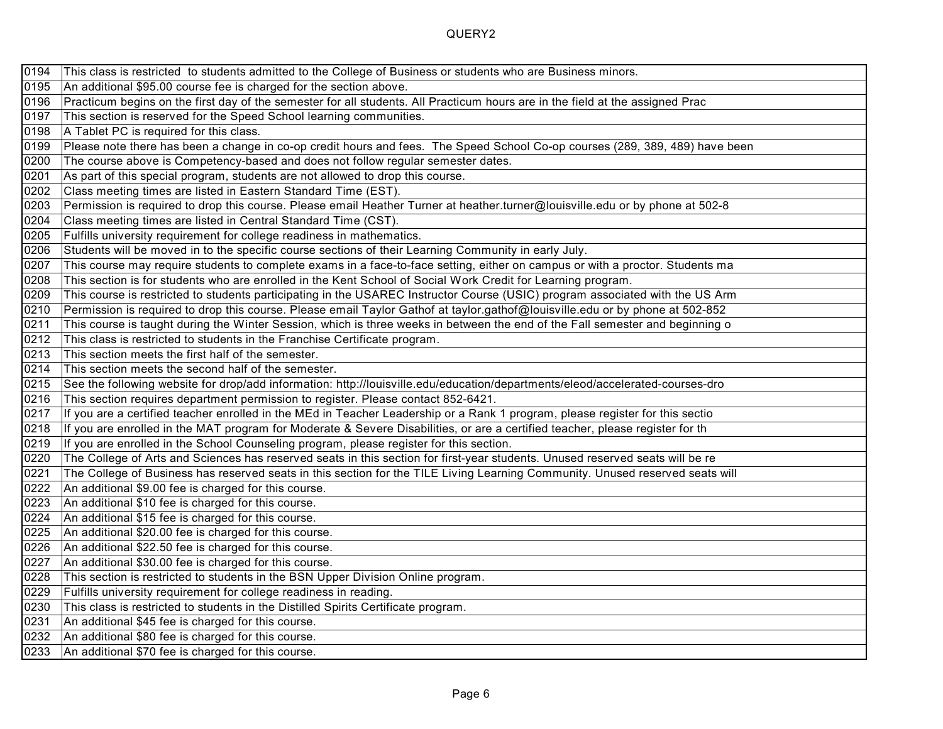| 0194 | This class is restricted to students admitted to the College of Business or students who are Business minors.                 |
|------|-------------------------------------------------------------------------------------------------------------------------------|
| 0195 | An additional \$95.00 course fee is charged for the section above.                                                            |
| 0196 | Practicum begins on the first day of the semester for all students. All Practicum hours are in the field at the assigned Prac |
| 0197 | This section is reserved for the Speed School learning communities.                                                           |
| 0198 | A Tablet PC is required for this class.                                                                                       |
| 0199 | Please note there has been a change in co-op credit hours and fees. The Speed School Co-op courses (289, 389, 489) have been  |
| 0200 | The course above is Competency-based and does not follow regular semester dates.                                              |
| 0201 | As part of this special program, students are not allowed to drop this course.                                                |
| 0202 | Class meeting times are listed in Eastern Standard Time (EST).                                                                |
| 0203 | Permission is required to drop this course. Please email Heather Turner at heather turner@louisville.edu or by phone at 502-8 |
| 0204 | Class meeting times are listed in Central Standard Time (CST).                                                                |
| 0205 | Fulfills university requirement for college readiness in mathematics.                                                         |
| 0206 | Students will be moved in to the specific course sections of their Learning Community in early July.                          |
| 0207 | This course may require students to complete exams in a face-to-face setting, either on campus or with a proctor. Students ma |
| 0208 | This section is for students who are enrolled in the Kent School of Social Work Credit for Learning program.                  |
| 0209 | This course is restricted to students participating in the USAREC Instructor Course (USIC) program associated with the US Arm |
| 0210 | Permission is required to drop this course. Please email Taylor Gathof at taylor.gathof@louisville.edu or by phone at 502-852 |
| 0211 | This course is taught during the Winter Session, which is three weeks in between the end of the Fall semester and beginning o |
| 0212 | This class is restricted to students in the Franchise Certificate program.                                                    |
| 0213 | This section meets the first half of the semester.                                                                            |
| 0214 | This section meets the second half of the semester.                                                                           |
| 0215 | See the following website for drop/add information: http://louisville.edu/education/departments/eleod/accelerated-courses-dro |
| 0216 | This section requires department permission to register. Please contact 852-6421.                                             |
| 0217 | If you are a certified teacher enrolled in the MEd in Teacher Leadership or a Rank 1 program, please register for this sectio |
| 0218 | If you are enrolled in the MAT program for Moderate & Severe Disabilities, or are a certified teacher, please register for th |
| 0219 | If you are enrolled in the School Counseling program, please register for this section.                                       |
| 0220 | The College of Arts and Sciences has reserved seats in this section for first-year students. Unused reserved seats will be re |
| 0221 | The College of Business has reserved seats in this section for the TILE Living Learning Community. Unused reserved seats will |
| 0222 | An additional \$9.00 fee is charged for this course.                                                                          |
| 0223 | An additional \$10 fee is charged for this course.                                                                            |
| 0224 | An additional \$15 fee is charged for this course.                                                                            |
| 0225 | An additional \$20.00 fee is charged for this course.                                                                         |
| 0226 | An additional \$22.50 fee is charged for this course.                                                                         |
| 0227 | An additional \$30.00 fee is charged for this course.                                                                         |
| 0228 | This section is restricted to students in the BSN Upper Division Online program.                                              |
| 0229 | Fulfills university requirement for college readiness in reading.                                                             |
| 0230 | This class is restricted to students in the Distilled Spirits Certificate program.                                            |
| 0231 | An additional \$45 fee is charged for this course.                                                                            |
| 0232 | An additional \$80 fee is charged for this course.                                                                            |
| 0233 | An additional \$70 fee is charged for this course.                                                                            |